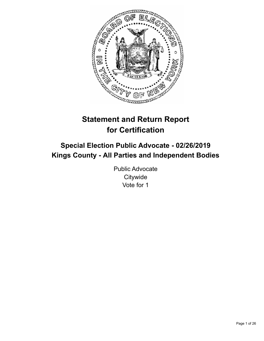

# **Statement and Return Report for Certification**

## **Special Election Public Advocate - 02/26/2019 Kings County - All Parties and Independent Bodies**

Public Advocate **Citywide** Vote for 1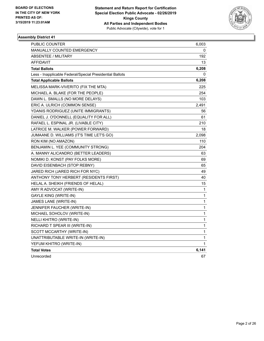

| PUBLIC COUNTER                                           | 6,003 |
|----------------------------------------------------------|-------|
| <b>MANUALLY COUNTED EMERGENCY</b>                        | 0     |
| <b>ABSENTEE / MILITARY</b>                               | 192   |
| AFFIDAVIT                                                | 13    |
| <b>Total Ballots</b>                                     | 6,208 |
| Less - Inapplicable Federal/Special Presidential Ballots | 0     |
| <b>Total Applicable Ballots</b>                          | 6,208 |
| MELISSA MARK-VIVERITO (FIX THE MTA)                      | 225   |
| MICHAEL A. BLAKE (FOR THE PEOPLE)                        | 254   |
| DAWN L. SMALLS (NO MORE DELAYS)                          | 103   |
| ERIC A. ULRICH (COMMON SENSE)                            | 2,491 |
| YDANIS RODRIGUEZ (UNITE IMMIGRANTS)                      | 56    |
| DANIEL J. O'DONNELL (EQUALITY FOR ALL)                   | 61    |
| RAFAEL L. ESPINAL JR. (LIVABLE CITY)                     | 210   |
| LATRICE M. WALKER (POWER FORWARD)                        | 18    |
| JUMAANE D. WILLIAMS (IT'S TIME LET'S GO)                 | 2,098 |
| RON KIM (NO AMAZON)                                      | 110   |
| BENJAMIN L. YEE (COMMUNITY STRONG)                       | 204   |
| A. MANNY ALICANDRO (BETTER LEADERS)                      | 63    |
| NOMIKI D. KONST (PAY FOLKS MORE)                         | 69    |
| DAVID EISENBACH (STOP REBNY)                             | 65    |
| JARED RICH (JARED RICH FOR NYC)                          | 49    |
| ANTHONY TONY HERBERT (RESIDENTS FIRST)                   | 40    |
| HELAL A. SHEIKH (FRIENDS OF HELAL)                       | 15    |
| AMY R ADVOCAT (WRITE-IN)                                 | 1     |
| GAYLE KING (WRITE-IN)                                    | 1     |
| JAMES LANE (WRITE-IN)                                    | 1     |
| JENNIFER FAUCHER (WRITE-IN)                              | 1     |
| MICHAEL SOHOLOV (WRITE-IN)                               | 1     |
| NELLI KHITRO (WRITE-IN)                                  | 1     |
| RICHARD T SPEAR III (WRITE-IN)                           | 1     |
| SCOTT MCCARTHY (WRITE-IN)                                | 1     |
| UNATTRIBUTABLE WRITE-IN (WRITE-IN)                       | 1     |
| YEFUM KHITRO (WRITE-IN)                                  | 1     |
| <b>Total Votes</b>                                       | 6,141 |
| Unrecorded                                               | 67    |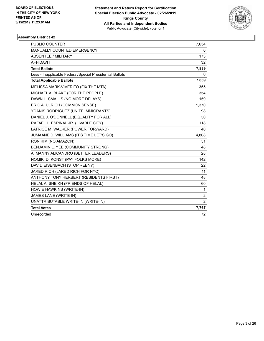

| <b>PUBLIC COUNTER</b>                                    | 7,634          |
|----------------------------------------------------------|----------------|
| <b>MANUALLY COUNTED EMERGENCY</b>                        | 0              |
| <b>ABSENTEE / MILITARY</b>                               | 173            |
| <b>AFFIDAVIT</b>                                         | 32             |
| <b>Total Ballots</b>                                     | 7,839          |
| Less - Inapplicable Federal/Special Presidential Ballots | $\mathbf{0}$   |
| <b>Total Applicable Ballots</b>                          | 7,839          |
| MELISSA MARK-VIVERITO (FIX THE MTA)                      | 355            |
| MICHAEL A. BLAKE (FOR THE PEOPLE)                        | 354            |
| DAWN L. SMALLS (NO MORE DELAYS)                          | 159            |
| ERIC A. ULRICH (COMMON SENSE)                            | 1,370          |
| YDANIS RODRIGUEZ (UNITE IMMIGRANTS)                      | 98             |
| DANIEL J. O'DONNELL (EQUALITY FOR ALL)                   | 50             |
| RAFAEL L. ESPINAL JR. (LIVABLE CITY)                     | 118            |
| LATRICE M. WALKER (POWER FORWARD)                        | 40             |
| JUMAANE D. WILLIAMS (IT'S TIME LET'S GO)                 | 4,808          |
| RON KIM (NO AMAZON)                                      | 51             |
| BENJAMIN L. YEE (COMMUNITY STRONG)                       | 48             |
| A. MANNY ALICANDRO (BETTER LEADERS)                      | 28             |
| NOMIKI D. KONST (PAY FOLKS MORE)                         | 142            |
| DAVID EISENBACH (STOP REBNY)                             | 22             |
| JARED RICH (JARED RICH FOR NYC)                          | 11             |
| ANTHONY TONY HERBERT (RESIDENTS FIRST)                   | 48             |
| HELAL A. SHEIKH (FRIENDS OF HELAL)                       | 60             |
| HOWIE HAWKINS (WRITE-IN)                                 | 1              |
| JAMES LANE (WRITE-IN)                                    | $\overline{c}$ |
| UNATTRIBUTABLE WRITE-IN (WRITE-IN)                       | $\overline{2}$ |
| <b>Total Votes</b>                                       | 7,767          |
| Unrecorded                                               | 72             |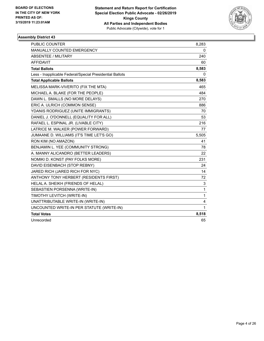

| <b>PUBLIC COUNTER</b>                                    | 8,283        |
|----------------------------------------------------------|--------------|
| <b>MANUALLY COUNTED EMERGENCY</b>                        | 0            |
| <b>ABSENTEE / MILITARY</b>                               | 240          |
| <b>AFFIDAVIT</b>                                         | 60           |
| <b>Total Ballots</b>                                     | 8,583        |
| Less - Inapplicable Federal/Special Presidential Ballots | 0            |
| <b>Total Applicable Ballots</b>                          | 8,583        |
| MELISSA MARK-VIVERITO (FIX THE MTA)                      | 465          |
| MICHAEL A. BLAKE (FOR THE PEOPLE)                        | 484          |
| DAWN L. SMALLS (NO MORE DELAYS)                          | 270          |
| ERIC A. ULRICH (COMMON SENSE)                            | 886          |
| YDANIS RODRIGUEZ (UNITE IMMIGRANTS)                      | 70           |
| DANIEL J. O'DONNELL (EQUALITY FOR ALL)                   | 53           |
| RAFAEL L. ESPINAL JR. (LIVABLE CITY)                     | 216          |
| LATRICE M. WALKER (POWER FORWARD)                        | 77           |
| JUMAANE D. WILLIAMS (IT'S TIME LET'S GO)                 | 5,505        |
| RON KIM (NO AMAZON)                                      | 41           |
| BENJAMIN L. YEE (COMMUNITY STRONG)                       | 78           |
| A. MANNY ALICANDRO (BETTER LEADERS)                      | 22           |
| NOMIKI D. KONST (PAY FOLKS MORE)                         | 231          |
| DAVID EISENBACH (STOP REBNY)                             | 24           |
| JARED RICH (JARED RICH FOR NYC)                          | 14           |
| ANTHONY TONY HERBERT (RESIDENTS FIRST)                   | 72           |
| HELAL A. SHEIKH (FRIENDS OF HELAL)                       | 3            |
| SEBASTIEN PORSENNA (WRITE-IN)                            | 1            |
| TIMOTHY LEVITCH (WRITE-IN)                               | 1            |
| UNATTRIBUTABLE WRITE-IN (WRITE-IN)                       | 4            |
| UNCOUNTED WRITE-IN PER STATUTE (WRITE-IN)                | $\mathbf{1}$ |
| <b>Total Votes</b>                                       | 8,518        |
| Unrecorded                                               | 65           |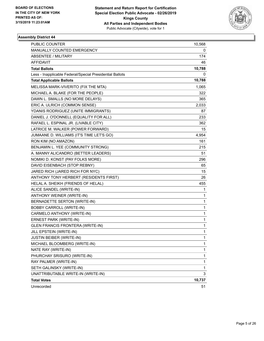

| PUBLIC COUNTER                                           | 10,568       |
|----------------------------------------------------------|--------------|
| MANUALLY COUNTED EMERGENCY                               | 0            |
| <b>ABSENTEE / MILITARY</b>                               | 174          |
| <b>AFFIDAVIT</b>                                         | 46           |
| <b>Total Ballots</b>                                     | 10,788       |
| Less - Inapplicable Federal/Special Presidential Ballots | 0            |
| <b>Total Applicable Ballots</b>                          | 10,788       |
| MELISSA MARK-VIVERITO (FIX THE MTA)                      | 1,065        |
| MICHAEL A. BLAKE (FOR THE PEOPLE)                        | 322          |
| DAWN L. SMALLS (NO MORE DELAYS)                          | 365          |
| ERIC A. ULRICH (COMMON SENSE)                            | 2,033        |
| YDANIS RODRIGUEZ (UNITE IMMIGRANTS)                      | 87           |
| DANIEL J. O'DONNELL (EQUALITY FOR ALL)                   | 233          |
| RAFAEL L. ESPINAL JR. (LIVABLE CITY)                     | 362          |
| LATRICE M. WALKER (POWER FORWARD)                        | 15           |
| JUMAANE D. WILLIAMS (IT'S TIME LET'S GO)                 | 4,954        |
| RON KIM (NO AMAZON)                                      | 161          |
| BENJAMIN L. YEE (COMMUNITY STRONG)                       | 215          |
| A. MANNY ALICANDRO (BETTER LEADERS)                      | 51           |
| NOMIKI D. KONST (PAY FOLKS MORE)                         | 296          |
| DAVID EISENBACH (STOP REBNY)                             | 65           |
| JARED RICH (JARED RICH FOR NYC)                          | 15           |
| ANTHONY TONY HERBERT (RESIDENTS FIRST)                   | 26           |
| HELAL A. SHEIKH (FRIENDS OF HELAL)                       | 455          |
| ALICE SANDEL (WRITE-IN)                                  | 1            |
| ANTHONY WEINER (WRITE-IN)                                | 1            |
| BERNADETTE SERTON (WRITE-IN)                             | 1            |
| <b>BOBBY CARROLL (WRITE-IN)</b>                          | 1            |
| CARMELO ANTHONY (WRITE-IN)                               | 1            |
| ERNEST PARK (WRITE-IN)                                   | 1            |
| <b>GLEN FRANCIS FRONTERA (WRITE-IN)</b>                  | 1            |
| JILL EPSTEIN (WRITE-IN)                                  | $\mathbf{1}$ |
| JUSTIN BEIBER (WRITE-IN)                                 | 1            |
| MICHAEL BLOOMBERG (WRITE-IN)                             | 1            |
| NATE RAY (WRITE-IN)                                      | 1            |
| PHURCHAY SRISURO (WRITE-IN)                              | 1            |
| RAY PALMER (WRITE-IN)                                    | 1            |
| SETH GALINSKY (WRITE-IN)                                 | 1            |
| UNATTRIBUTABLE WRITE-IN (WRITE-IN)                       | 3            |
| <b>Total Votes</b>                                       | 10,737       |
| Unrecorded                                               | 51           |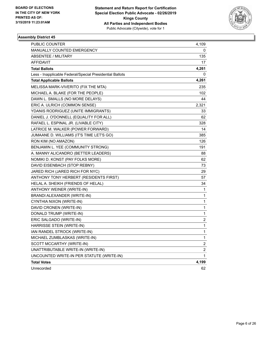

| <b>PUBLIC COUNTER</b>                                    | 4,109          |
|----------------------------------------------------------|----------------|
| MANUALLY COUNTED EMERGENCY                               | 0              |
| <b>ABSENTEE / MILITARY</b>                               | 135            |
| AFFIDAVIT                                                | 17             |
| <b>Total Ballots</b>                                     | 4,261          |
| Less - Inapplicable Federal/Special Presidential Ballots | 0              |
| <b>Total Applicable Ballots</b>                          | 4,261          |
| MELISSA MARK-VIVERITO (FIX THE MTA)                      | 235            |
| MICHAEL A. BLAKE (FOR THE PEOPLE)                        | 102            |
| DAWN L. SMALLS (NO MORE DELAYS)                          | 44             |
| ERIC A. ULRICH (COMMON SENSE)                            | 2,321          |
| YDANIS RODRIGUEZ (UNITE IMMIGRANTS)                      | 33             |
| DANIEL J. O'DONNELL (EQUALITY FOR ALL)                   | 62             |
| RAFAEL L. ESPINAL JR. (LIVABLE CITY)                     | 328            |
| LATRICE M. WALKER (POWER FORWARD)                        | 14             |
| JUMAANE D. WILLIAMS (IT'S TIME LET'S GO)                 | 385            |
| RON KIM (NO AMAZON)                                      | 126            |
| BENJAMIN L. YEE (COMMUNITY STRONG)                       | 191            |
| A. MANNY ALICANDRO (BETTER LEADERS)                      | 88             |
| NOMIKI D. KONST (PAY FOLKS MORE)                         | 62             |
| DAVID EISENBACH (STOP REBNY)                             | 73             |
| JARED RICH (JARED RICH FOR NYC)                          | 29             |
| ANTHONY TONY HERBERT (RESIDENTS FIRST)                   | 57             |
| HELAL A. SHEIKH (FRIENDS OF HELAL)                       | 34             |
| ANTHONY WEINER (WRITE-IN)                                | 1              |
| BRANDI ALEXANDER (WRITE-IN)                              | 1              |
| CYNTHIA NIXON (WRITE-IN)                                 | 1              |
| DAVID CRONEN (WRITE-IN)                                  | 1              |
| DONALD TRUMP (WRITE-IN)                                  | 1              |
| ERIC SALGADO (WRITE-IN)                                  | 2              |
| HARRISSE STEIN (WRITE-IN)                                | 1              |
| IAN RANDEL STROCK (WRITE-IN)                             | $\mathbf{1}$   |
| MICHAEL ZUMBLASKAS (WRITE-IN)                            | 1              |
| SCOTT MCCARTHY (WRITE-IN)                                | $\overline{c}$ |
| UNATTRIBUTABLE WRITE-IN (WRITE-IN)                       | $\overline{c}$ |
| UNCOUNTED WRITE-IN PER STATUTE (WRITE-IN)                | $\mathbf{1}$   |
| <b>Total Votes</b>                                       | 4,199          |
| Unrecorded                                               | 62             |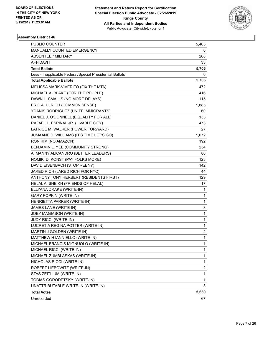

| <b>PUBLIC COUNTER</b>                                    | 5,405          |
|----------------------------------------------------------|----------------|
| MANUALLY COUNTED EMERGENCY                               | 0              |
| ABSENTEE / MILITARY                                      | 268            |
| AFFIDAVIT                                                | 33             |
| <b>Total Ballots</b>                                     | 5,706          |
| Less - Inapplicable Federal/Special Presidential Ballots | 0              |
| <b>Total Applicable Ballots</b>                          | 5,706          |
| MELISSA MARK-VIVERITO (FIX THE MTA)                      | 472            |
| MICHAEL A. BLAKE (FOR THE PEOPLE)                        | 416            |
| DAWN L. SMALLS (NO MORE DELAYS)                          | 115            |
| ERIC A. ULRICH (COMMON SENSE)                            | 1,885          |
| YDANIS RODRIGUEZ (UNITE IMMIGRANTS)                      | 60             |
| DANIEL J. O'DONNELL (EQUALITY FOR ALL)                   | 135            |
| RAFAEL L. ESPINAL JR. (LIVABLE CITY)                     | 473            |
| LATRICE M. WALKER (POWER FORWARD)                        | 27             |
| JUMAANE D. WILLIAMS (IT'S TIME LET'S GO)                 | 1,072          |
| RON KIM (NO AMAZON)                                      | 192            |
| BENJAMIN L. YEE (COMMUNITY STRONG)                       | 234            |
| A. MANNY ALICANDRO (BETTER LEADERS)                      | 80             |
| NOMIKI D. KONST (PAY FOLKS MORE)                         | 123            |
| DAVID EISENBACH (STOP REBNY)                             | 142            |
| JARED RICH (JARED RICH FOR NYC)                          | 44             |
| ANTHONY TONY HERBERT (RESIDENTS FIRST)                   | 129            |
| HELAL A. SHEIKH (FRIENDS OF HELAL)                       | 17             |
| ELLYANA DRAKE (WRITE-IN)                                 | 1              |
| <b>GARY POPKIN (WRITE-IN)</b>                            | 1              |
| HENRIETTA PARKER (WRITE-IN)                              | 1              |
| JAMES LANE (WRITE-IN)                                    | 3              |
| JOEY MAGIASON (WRITE-IN)                                 | 1              |
| JUDY RICCI (WRITE-IN)                                    | 1              |
| LUCRETIA REGINA POTTER (WRITE-IN)                        | 1              |
| MARTIN J GOLDEN (WRITE-IN)                               | $\overline{c}$ |
| MATTHEW H IANNIELLO (WRITE-IN)                           | 1              |
| MICHAEL FRANCIS MIGNUOLO (WRITE-IN)                      | 1              |
| MICHAEL RICCI (WRITE-IN)                                 | 1              |
| MICHAEL ZUMBLASKAS (WRITE-IN)                            | 1              |
| NICHOLAS RICCI (WRITE-IN)                                | 1              |
| ROBERT LIEBOWITZ (WRITE-IN)                              | 2              |
| STAS ZEITLIUM (WRITE-IN)                                 | 1              |
| TOBIAS GORODETSKY (WRITE-IN)                             | 1              |
| UNATTRIBUTABLE WRITE-IN (WRITE-IN)                       | 3              |
| <b>Total Votes</b>                                       | 5,639          |
| Unrecorded                                               | 67             |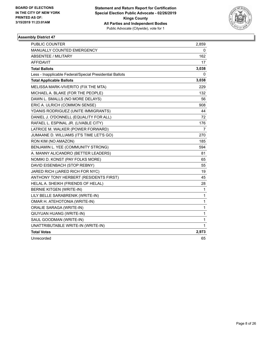

| PUBLIC COUNTER                                           | 2,859 |
|----------------------------------------------------------|-------|
| MANUALLY COUNTED EMERGENCY                               | 0     |
| <b>ABSENTEE / MILITARY</b>                               | 162   |
| AFFIDAVIT                                                | 17    |
| <b>Total Ballots</b>                                     | 3,038 |
| Less - Inapplicable Federal/Special Presidential Ballots | 0     |
| <b>Total Applicable Ballots</b>                          | 3,038 |
| MELISSA MARK-VIVERITO (FIX THE MTA)                      | 229   |
| MICHAEL A. BLAKE (FOR THE PEOPLE)                        | 132   |
| DAWN L. SMALLS (NO MORE DELAYS)                          | 56    |
| ERIC A. ULRICH (COMMON SENSE)                            | 908   |
| YDANIS RODRIGUEZ (UNITE IMMIGRANTS)                      | 44    |
| DANIEL J. O'DONNELL (EQUALITY FOR ALL)                   | 72    |
| RAFAEL L. ESPINAL JR. (LIVABLE CITY)                     | 176   |
| LATRICE M. WALKER (POWER FORWARD)                        | 7     |
| JUMAANE D. WILLIAMS (IT'S TIME LET'S GO)                 | 270   |
| RON KIM (NO AMAZON)                                      | 185   |
| BENJAMIN L. YEE (COMMUNITY STRONG)                       | 594   |
| A. MANNY ALICANDRO (BETTER LEADERS)                      | 81    |
| NOMIKI D. KONST (PAY FOLKS MORE)                         | 65    |
| DAVID EISENBACH (STOP REBNY)                             | 55    |
| JARED RICH (JARED RICH FOR NYC)                          | 19    |
| ANTHONY TONY HERBERT (RESIDENTS FIRST)                   | 45    |
| HELAL A. SHEIKH (FRIENDS OF HELAL)                       | 28    |
| <b>BERNIE KITGEN (WRITE-IN)</b>                          | 1     |
| LILY BELLE SARABRENIK (WRITE-IN)                         | 1     |
| OMAR H. ATEHOTONIA (WRITE-IN)                            | 1     |
| ORALIE SARAGA (WRITE-IN)                                 | 1     |
| QIUYUAN HUANG (WRITE-IN)                                 | 1     |
| SAUL GOODMAN (WRITE-IN)                                  | 1     |
| UNATTRIBUTABLE WRITE-IN (WRITE-IN)                       | 1     |
| <b>Total Votes</b>                                       | 2,973 |
| Unrecorded                                               | 65    |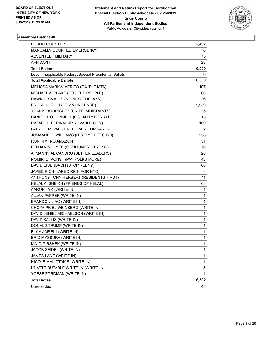

| PUBLIC COUNTER                                           | 6,452 |
|----------------------------------------------------------|-------|
| MANUALLY COUNTED EMERGENCY                               | 0     |
| <b>ABSENTEE / MILITARY</b>                               | 75    |
| AFFIDAVIT                                                | 23    |
| <b>Total Ballots</b>                                     | 6,550 |
| Less - Inapplicable Federal/Special Presidential Ballots | 0     |
| <b>Total Applicable Ballots</b>                          | 6,550 |
| MELISSA MARK-VIVERITO (FIX THE MTA)                      | 107   |
| MICHAEL A. BLAKE (FOR THE PEOPLE)                        | 60    |
| DAWN L. SMALLS (NO MORE DELAYS)                          | 26    |
| ERIC A. ULRICH (COMMON SENSE)                            | 5,539 |
| YDANIS RODRIGUEZ (UNITE IMMIGRANTS)                      | 25    |
| DANIEL J. O'DONNELL (EQUALITY FOR ALL)                   | 15    |
| RAFAEL L. ESPINAL JR. (LIVABLE CITY)                     | 109   |
| LATRICE M. WALKER (POWER FORWARD)                        | 2     |
| JUMAANE D. WILLIAMS (IT'S TIME LET'S GO)                 | 258   |
| RON KIM (NO AMAZON)                                      | 51    |
| BENJAMIN L. YEE (COMMUNITY STRONG)                       | 70    |
| A. MANNY ALICANDRO (BETTER LEADERS)                      | 28    |
| NOMIKI D. KONST (PAY FOLKS MORE)                         | 43    |
| DAVID EISENBACH (STOP REBNY)                             | 68    |
| JARED RICH (JARED RICH FOR NYC)                          | 8     |
| ANTHONY TONY HERBERT (RESIDENTS FIRST)                   | 11    |
| HELAL A. SHEIKH (FRIENDS OF HELAL)                       | 63    |
| AARON TYK (WRITE-IN)                                     | 1     |
| ALLAN PAPPER (WRITE-IN)                                  | 1     |
| BRANDON LIAO (WRITE-IN)                                  | 1     |
| CHOYA PRIEL WEINBERG (WRITE-IN)                          | 1     |
| DAVID JEHIEL MICHAELSON (WRITE-IN)                       | 1     |
| DAVID KALLIS (WRITE-IN)                                  | 1     |
| DONALD TRUMP (WRITE-IN)                                  | 1     |
| ELY A AMSEL1 (WRITE-IN)                                  | 1     |
| ERIC MYSSURA (WRITE-IN)                                  | 1     |
| IAN D GIRSHEK (WRITE-IN)                                 | 1     |
| JACOB SEIDEL (WRITE-IN)                                  | 1     |
| JAMES LANE (WRITE-IN)                                    | 1     |
| NICOLE MALIOTAKIS (WRITE-IN)                             | 1     |
| UNATTRIBUTABLE WRITE-IN (WRITE-IN)                       | 5     |
| YOESF ZORDMAN (WRITE-IN)                                 | 1     |
| <b>Total Votes</b>                                       | 6,502 |
| Unrecorded                                               | 48    |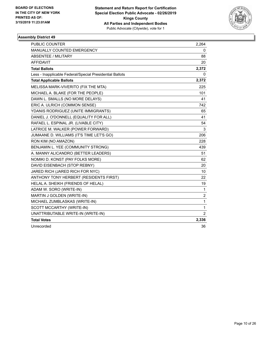

| <b>PUBLIC COUNTER</b>                                    | 2,264                   |
|----------------------------------------------------------|-------------------------|
| MANUALLY COUNTED EMERGENCY                               | 0                       |
| ABSENTEE / MILITARY                                      | 88                      |
| <b>AFFIDAVIT</b>                                         | 20                      |
| <b>Total Ballots</b>                                     | 2,372                   |
| Less - Inapplicable Federal/Special Presidential Ballots | 0                       |
| <b>Total Applicable Ballots</b>                          | 2,372                   |
| MELISSA MARK-VIVERITO (FIX THE MTA)                      | 225                     |
| MICHAEL A. BLAKE (FOR THE PEOPLE)                        | 101                     |
| DAWN L. SMALLS (NO MORE DELAYS)                          | 41                      |
| ERIC A. ULRICH (COMMON SENSE)                            | 742                     |
| YDANIS RODRIGUEZ (UNITE IMMIGRANTS)                      | 65                      |
| DANIEL J. O'DONNELL (EQUALITY FOR ALL)                   | 41                      |
| RAFAEL L. ESPINAL JR. (LIVABLE CITY)                     | 54                      |
| LATRICE M. WALKER (POWER FORWARD)                        | 3                       |
| JUMAANE D. WILLIAMS (IT'S TIME LET'S GO)                 | 206                     |
| RON KIM (NO AMAZON)                                      | 228                     |
| BENJAMIN L. YEE (COMMUNITY STRONG)                       | 439                     |
| A. MANNY ALICANDRO (BETTER LEADERS)                      | 51                      |
| NOMIKI D. KONST (PAY FOLKS MORE)                         | 62                      |
| DAVID EISENBACH (STOP REBNY)                             | 20                      |
| JARED RICH (JARED RICH FOR NYC)                          | 10                      |
| ANTHONY TONY HERBERT (RESIDENTS FIRST)                   | 22                      |
| HELAL A. SHEIKH (FRIENDS OF HELAL)                       | 19                      |
| ADAM W. SORO (WRITE-IN)                                  | 1                       |
| MARTIN J GOLDEN (WRITE-IN)                               | $\overline{\mathbf{c}}$ |
| MICHAEL ZUMBLASKAS (WRITE-IN)                            | $\mathbf{1}$            |
| SCOTT MCCARTHY (WRITE-IN)                                | $\mathbf{1}$            |
| UNATTRIBUTABLE WRITE-IN (WRITE-IN)                       | $\overline{2}$          |
| <b>Total Votes</b>                                       | 2,336                   |
| Unrecorded                                               | 36                      |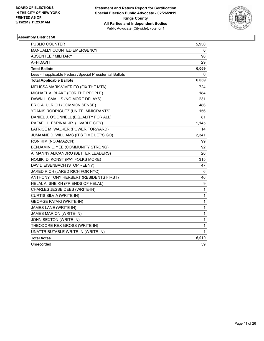

| <b>PUBLIC COUNTER</b>                                    | 5,950        |
|----------------------------------------------------------|--------------|
| MANUALLY COUNTED EMERGENCY                               | 0            |
| <b>ABSENTEE / MILITARY</b>                               | 90           |
| <b>AFFIDAVIT</b>                                         | 29           |
| <b>Total Ballots</b>                                     | 6,069        |
| Less - Inapplicable Federal/Special Presidential Ballots | 0            |
| <b>Total Applicable Ballots</b>                          | 6,069        |
| MELISSA MARK-VIVERITO (FIX THE MTA)                      | 724          |
| MICHAEL A. BLAKE (FOR THE PEOPLE)                        | 184          |
| DAWN L. SMALLS (NO MORE DELAYS)                          | 231          |
| ERIC A. ULRICH (COMMON SENSE)                            | 486          |
| YDANIS RODRIGUEZ (UNITE IMMIGRANTS)                      | 156          |
| DANIEL J. O'DONNELL (EQUALITY FOR ALL)                   | 81           |
| RAFAEL L. ESPINAL JR. (LIVABLE CITY)                     | 1,145        |
| LATRICE M. WALKER (POWER FORWARD)                        | 14           |
| JUMAANE D. WILLIAMS (IT'S TIME LET'S GO)                 | 2,341        |
| RON KIM (NO AMAZON)                                      | 99           |
| BENJAMIN L. YEE (COMMUNITY STRONG)                       | 92           |
| A. MANNY ALICANDRO (BETTER LEADERS)                      | 26           |
| NOMIKI D. KONST (PAY FOLKS MORE)                         | 315          |
| DAVID EISENBACH (STOP REBNY)                             | 47           |
| JARED RICH (JARED RICH FOR NYC)                          | 6            |
| ANTHONY TONY HERBERT (RESIDENTS FIRST)                   | 46           |
| HELAL A. SHEIKH (FRIENDS OF HELAL)                       | 9            |
| CHARLES JESSE DEES (WRITE-IN)                            | 1            |
| CURTIS SILVIA (WRITE-IN)                                 | $\mathbf{1}$ |
| <b>GEORGE PATAKI (WRITE-IN)</b>                          | 1            |
| JAMES LANE (WRITE-IN)                                    | 1            |
| <b>JAMES MARION (WRITE-IN)</b>                           | 1            |
| JOHN SEXTON (WRITE-IN)                                   | 1            |
| THEODORE REX GROSS (WRITE-IN)                            | 1            |
| UNATTRIBUTABLE WRITE-IN (WRITE-IN)                       | 1            |
| <b>Total Votes</b>                                       | 6,010        |
| Unrecorded                                               | 59           |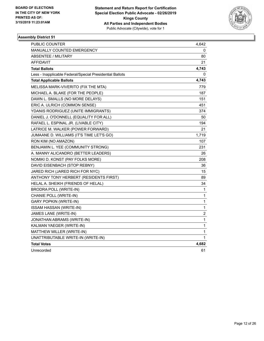

| PUBLIC COUNTER                                           | 4,642                   |
|----------------------------------------------------------|-------------------------|
| <b>MANUALLY COUNTED EMERGENCY</b>                        | 0                       |
| ABSENTEE / MILITARY                                      | 80                      |
| AFFIDAVIT                                                | 21                      |
| <b>Total Ballots</b>                                     | 4,743                   |
| Less - Inapplicable Federal/Special Presidential Ballots | 0                       |
| <b>Total Applicable Ballots</b>                          | 4,743                   |
| MELISSA MARK-VIVERITO (FIX THE MTA)                      | 779                     |
| MICHAEL A. BLAKE (FOR THE PEOPLE)                        | 187                     |
| DAWN L. SMALLS (NO MORE DELAYS)                          | 151                     |
| ERIC A. ULRICH (COMMON SENSE)                            | 451                     |
| YDANIS RODRIGUEZ (UNITE IMMIGRANTS)                      | 374                     |
| DANIEL J. O'DONNELL (EQUALITY FOR ALL)                   | 50                      |
| RAFAEL L. ESPINAL JR. (LIVABLE CITY)                     | 194                     |
| LATRICE M. WALKER (POWER FORWARD)                        | 21                      |
| JUMAANE D. WILLIAMS (IT'S TIME LET'S GO)                 | 1,719                   |
| RON KIM (NO AMAZON)                                      | 107                     |
| BENJAMIN L. YEE (COMMUNITY STRONG)                       | 231                     |
| A. MANNY ALICANDRO (BETTER LEADERS)                      | 26                      |
| NOMIKI D. KONST (PAY FOLKS MORE)                         | 208                     |
| DAVID EISENBACH (STOP REBNY)                             | 36                      |
| JARED RICH (JARED RICH FOR NYC)                          | 15                      |
| ANTHONY TONY HERBERT (RESIDENTS FIRST)                   | 89                      |
| HELAL A. SHEIKH (FRIENDS OF HELAL)                       | 34                      |
| <b>BRODRA POLL (WRITE-IN)</b>                            | 1                       |
| CHANIE POLL (WRITE-IN)                                   | 1                       |
| <b>GARY POPKIN (WRITE-IN)</b>                            | 1                       |
| ISSAM HASSAN (WRITE-IN)                                  | 1                       |
| JAMES LANE (WRITE-IN)                                    | $\overline{\mathbf{c}}$ |
| JONATHAN ABRAMS (WRITE-IN)                               | $\mathbf{1}$            |
| KALMAN YAEGER (WRITE-IN)                                 | $\mathbf{1}$            |
| MATTHEW MILLER (WRITE-IN)                                | 1                       |
| UNATTRIBUTABLE WRITE-IN (WRITE-IN)                       | $\mathbf{1}$            |
| <b>Total Votes</b>                                       | 4,682                   |
| Unrecorded                                               | 61                      |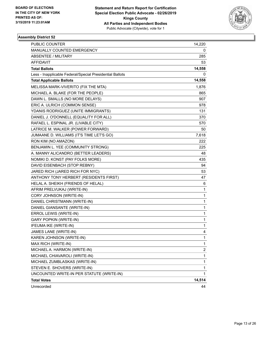

| PUBLIC COUNTER                                           | 14,220                  |
|----------------------------------------------------------|-------------------------|
| MANUALLY COUNTED EMERGENCY                               | 0                       |
| <b>ABSENTEE / MILITARY</b>                               | 285                     |
| <b>AFFIDAVIT</b>                                         | 53                      |
| <b>Total Ballots</b>                                     | 14,558                  |
| Less - Inapplicable Federal/Special Presidential Ballots | 0                       |
| <b>Total Applicable Ballots</b>                          | 14,558                  |
| MELISSA MARK-VIVERITO (FIX THE MTA)                      | 1,876                   |
| MICHAEL A. BLAKE (FOR THE PEOPLE)                        | 865                     |
| DAWN L. SMALLS (NO MORE DELAYS)                          | 907                     |
| ERIC A. ULRICH (COMMON SENSE)                            | 978                     |
| YDANIS RODRIGUEZ (UNITE IMMIGRANTS)                      | 131                     |
| DANIEL J. O'DONNELL (EQUALITY FOR ALL)                   | 370                     |
| RAFAEL L. ESPINAL JR. (LIVABLE CITY)                     | 570                     |
| LATRICE M. WALKER (POWER FORWARD)                        | 50                      |
| JUMAANE D. WILLIAMS (IT'S TIME LET'S GO)                 | 7,618                   |
| RON KIM (NO AMAZON)                                      | 222                     |
| BENJAMIN L. YEE (COMMUNITY STRONG)                       | 225                     |
| A. MANNY ALICANDRO (BETTER LEADERS)                      | 48                      |
| NOMIKI D. KONST (PAY FOLKS MORE)                         | 435                     |
| DAVID EISENBACH (STOP REBNY)                             | 94                      |
| JARED RICH (JARED RICH FOR NYC)                          | 53                      |
| ANTHONY TONY HERBERT (RESIDENTS FIRST)                   | 47                      |
| HELAL A. SHEIKH (FRIENDS OF HELAL)                       | 6                       |
| AFRIM PRELVUKAJ (WRITE-IN)                               | 1                       |
| CORY JOHNSON (WRITE-IN)                                  | 1                       |
| DANIEL CHRISTMANN (WRITE-IN)                             | 1                       |
| DANIEL GIANSANTE (WRITE-IN)                              | 1                       |
| ERROL LEWIS (WRITE-IN)                                   | 1                       |
| <b>GARY POPKIN (WRITE-IN)</b>                            | 1                       |
| IFEUMA IKE (WRITE-IN)                                    | 1                       |
| JAMES LANE (WRITE-IN)                                    | 4                       |
| KAREN JOHNSON (WRITE-IN)                                 | 1                       |
| MAX RICH (WRITE-IN)                                      | 1                       |
| MICHAEL A. HARMON (WRITE-IN)                             | $\overline{\mathbf{c}}$ |
| MICHAEL CHIAVAROLI (WRITE-IN)                            | 1                       |
| MICHAEL ZUMBLASKAS (WRITE-IN)                            | 1                       |
| STEVEN E. SHOVERS (WRITE-IN)                             | 1                       |
| UNCOUNTED WRITE-IN PER STATUTE (WRITE-IN)                | 1                       |
| <b>Total Votes</b>                                       | 14,514                  |
| Unrecorded                                               | 44                      |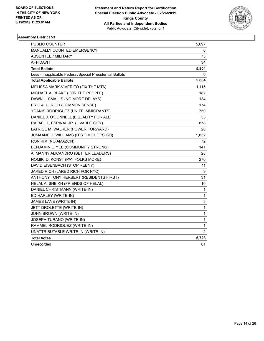

| <b>PUBLIC COUNTER</b>                                    | 5,697       |
|----------------------------------------------------------|-------------|
| <b>MANUALLY COUNTED EMERGENCY</b>                        | 0           |
| <b>ABSENTEE / MILITARY</b>                               | 73          |
| <b>AFFIDAVIT</b>                                         | 34          |
| <b>Total Ballots</b>                                     | 5,804       |
| Less - Inapplicable Federal/Special Presidential Ballots | 0           |
| <b>Total Applicable Ballots</b>                          | 5,804       |
| MELISSA MARK-VIVERITO (FIX THE MTA)                      | 1,115       |
| MICHAEL A. BLAKE (FOR THE PEOPLE)                        | 182         |
| DAWN L. SMALLS (NO MORE DELAYS)                          | 134         |
| ERIC A. ULRICH (COMMON SENSE)                            | 174         |
| YDANIS RODRIGUEZ (UNITE IMMIGRANTS)                      | 750         |
| DANIEL J. O'DONNELL (EQUALITY FOR ALL)                   | 55          |
| RAFAEL L. ESPINAL JR. (LIVABLE CITY)                     | 878         |
| LATRICE M. WALKER (POWER FORWARD)                        | 20          |
| JUMAANE D. WILLIAMS (IT'S TIME LET'S GO)                 | 1,832       |
| RON KIM (NO AMAZON)                                      | 72          |
| BENJAMIN L. YEE (COMMUNITY STRONG)                       | 141         |
| A. MANNY ALICANDRO (BETTER LEADERS)                      | 28          |
| NOMIKI D. KONST (PAY FOLKS MORE)                         | 270         |
| DAVID EISENBACH (STOP REBNY)                             | 11          |
| JARED RICH (JARED RICH FOR NYC)                          | 9           |
| ANTHONY TONY HERBERT (RESIDENTS FIRST)                   | 31          |
| HELAL A. SHEIKH (FRIENDS OF HELAL)                       | 10          |
| DANIEL CHRISTMANN (WRITE-IN)                             | 1           |
| ED HARLEY (WRITE-IN)                                     | $\mathbf 1$ |
| JAMES LANE (WRITE-IN)                                    | 3           |
| JETT DROLETTE (WRITE-IN)                                 | 1           |
| JOHN BROWN (WRITE-IN)                                    | 1           |
| JOSEPH TURANO (WRITE-IN)                                 | 1           |
| RAMMEL RODRIQUEZ (WRITE-IN)                              | 1           |
| UNATTRIBUTABLE WRITE-IN (WRITE-IN)                       | 2           |
| <b>Total Votes</b>                                       | 5,723       |
| Unrecorded                                               | 81          |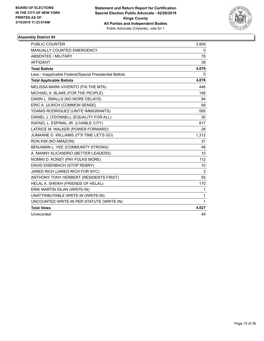

| <b>PUBLIC COUNTER</b>                                    | 3,959        |
|----------------------------------------------------------|--------------|
| <b>MANUALLY COUNTED EMERGENCY</b>                        | 0            |
| <b>ABSENTEE / MILITARY</b>                               | 78           |
| <b>AFFIDAVIT</b>                                         | 39           |
| <b>Total Ballots</b>                                     | 4,076        |
| Less - Inapplicable Federal/Special Presidential Ballots | 0            |
| <b>Total Applicable Ballots</b>                          | 4,076        |
| MELISSA MARK-VIVERITO (FIX THE MTA)                      | 446          |
| MICHAEL A. BLAKE (FOR THE PEOPLE)                        | 188          |
| DAWN L. SMALLS (NO MORE DELAYS)                          | 94           |
| ERIC A. ULRICH (COMMON SENSE)                            | 69           |
| YDANIS RODRIGUEZ (UNITE IMMIGRANTS)                      | 595          |
| DANIEL J. O'DONNELL (EQUALITY FOR ALL)                   | 30           |
| RAFAEL L. ESPINAL JR. (LIVABLE CITY)                     | 817          |
| LATRICE M. WALKER (POWER FORWARD)                        | 28           |
| JUMAANE D. WILLIAMS (IT'S TIME LET'S GO)                 | 1,312        |
| RON KIM (NO AMAZON)                                      | 37           |
| BENJAMIN L. YEE (COMMUNITY STRONG)                       | 48           |
| A. MANNY ALICANDRO (BETTER LEADERS)                      | 10           |
| NOMIKI D. KONST (PAY FOLKS MORE)                         | 112          |
| DAVID EISENBACH (STOP REBNY)                             | 10           |
| JARED RICH (JARED RICH FOR NYC)                          | 3            |
| ANTHONY TONY HERBERT (RESIDENTS FIRST)                   | 55           |
| HELAL A. SHEIKH (FRIENDS OF HELAL)                       | 170          |
| ERIK MARTIN DILAN (WRITE-IN)                             | 1            |
| UNATTRIBUTABLE WRITE-IN (WRITE-IN)                       | $\mathbf{1}$ |
| UNCOUNTED WRITE-IN PER STATUTE (WRITE-IN)                | 1            |
| <b>Total Votes</b>                                       | 4,027        |
| Unrecorded                                               | 49           |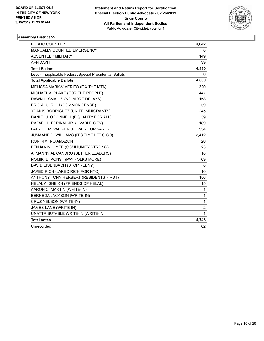

| <b>PUBLIC COUNTER</b>                                    | 4,642 |
|----------------------------------------------------------|-------|
| MANUALLY COUNTED EMERGENCY                               | 0     |
| ABSENTEE / MILITARY                                      | 149   |
| <b>AFFIDAVIT</b>                                         | 39    |
| <b>Total Ballots</b>                                     | 4,830 |
| Less - Inapplicable Federal/Special Presidential Ballots | 0     |
| <b>Total Applicable Ballots</b>                          | 4,830 |
| MELISSA MARK-VIVERITO (FIX THE MTA)                      | 320   |
| MICHAEL A. BLAKE (FOR THE PEOPLE)                        | 447   |
| DAWN L. SMALLS (NO MORE DELAYS)                          | 158   |
| ERIC A. ULRICH (COMMON SENSE)                            | 59    |
| YDANIS RODRIGUEZ (UNITE IMMIGRANTS)                      | 245   |
| DANIEL J. O'DONNELL (EQUALITY FOR ALL)                   | 39    |
| RAFAEL L. ESPINAL JR. (LIVABLE CITY)                     | 189   |
| LATRICE M. WALKER (POWER FORWARD)                        | 554   |
| JUMAANE D. WILLIAMS (IT'S TIME LET'S GO)                 | 2,412 |
| RON KIM (NO AMAZON)                                      | 20    |
| BENJAMIN L. YEE (COMMUNITY STRONG)                       | 23    |
| A. MANNY ALICANDRO (BETTER LEADERS)                      | 18    |
| NOMIKI D. KONST (PAY FOLKS MORE)                         | 69    |
| DAVID EISENBACH (STOP REBNY)                             | 8     |
| JARED RICH (JARED RICH FOR NYC)                          | 10    |
| ANTHONY TONY HERBERT (RESIDENTS FIRST)                   | 156   |
| HELAL A. SHEIKH (FRIENDS OF HELAL)                       | 15    |
| AARON C. MARTIN (WRITE-IN)                               | 1     |
| BERNEDA JACKSON (WRITE-IN)                               | 1     |
| CRUZ NELSON (WRITE-IN)                                   | 1     |
| JAMES LANE (WRITE-IN)                                    | 2     |
| UNATTRIBUTABLE WRITE-IN (WRITE-IN)                       | 1     |
| <b>Total Votes</b>                                       | 4,748 |
| Unrecorded                                               | 82    |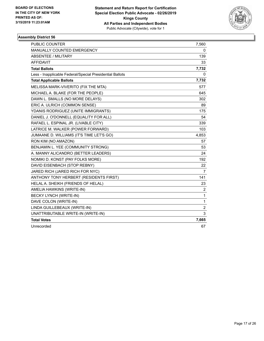

| <b>PUBLIC COUNTER</b>                                    | 7,560          |
|----------------------------------------------------------|----------------|
| MANUALLY COUNTED EMERGENCY                               | 0              |
| ABSENTEE / MILITARY                                      | 139            |
| <b>AFFIDAVIT</b>                                         | 33             |
| <b>Total Ballots</b>                                     | 7,732          |
| Less - Inapplicable Federal/Special Presidential Ballots | 0              |
| <b>Total Applicable Ballots</b>                          | 7,732          |
| MELISSA MARK-VIVERITO (FIX THE MTA)                      | 577            |
| MICHAEL A. BLAKE (FOR THE PEOPLE)                        | 645            |
| DAWN L. SMALLS (NO MORE DELAYS)                          | 302            |
| ERIC A. ULRICH (COMMON SENSE)                            | 89             |
| YDANIS RODRIGUEZ (UNITE IMMIGRANTS)                      | 175            |
| DANIEL J. O'DONNELL (EQUALITY FOR ALL)                   | 54             |
| RAFAEL L. ESPINAL JR. (LIVABLE CITY)                     | 339            |
| LATRICE M. WALKER (POWER FORWARD)                        | 103            |
| JUMAANE D. WILLIAMS (IT'S TIME LET'S GO)                 | 4,853          |
| RON KIM (NO AMAZON)                                      | 57             |
| BENJAMIN L. YEE (COMMUNITY STRONG)                       | 53             |
| A. MANNY ALICANDRO (BETTER LEADERS)                      | 24             |
| NOMIKI D. KONST (PAY FOLKS MORE)                         | 192            |
| DAVID EISENBACH (STOP REBNY)                             | 22             |
| JARED RICH (JARED RICH FOR NYC)                          | 7              |
| ANTHONY TONY HERBERT (RESIDENTS FIRST)                   | 141            |
| HELAL A. SHEIKH (FRIENDS OF HELAL)                       | 23             |
| AMELIA HAWKINS (WRITE-IN)                                | $\overline{2}$ |
| BECKY LYNCH (WRITE-IN)                                   | $\mathbf{1}$   |
| DAVE COLON (WRITE-IN)                                    | 1              |
| LINDA GUILLEBEAUX (WRITE-IN)                             | $\overline{2}$ |
| UNATTRIBUTABLE WRITE-IN (WRITE-IN)                       | 3              |
| <b>Total Votes</b>                                       | 7,665          |
| Unrecorded                                               | 67             |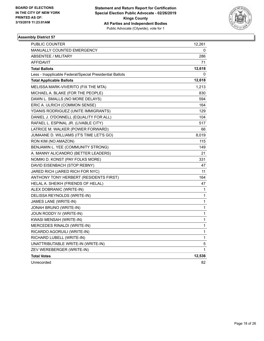

| PUBLIC COUNTER                                           | 12,261 |
|----------------------------------------------------------|--------|
| <b>MANUALLY COUNTED EMERGENCY</b>                        | 0      |
| <b>ABSENTEE / MILITARY</b>                               | 286    |
| <b>AFFIDAVIT</b>                                         | 71     |
| <b>Total Ballots</b>                                     | 12,618 |
| Less - Inapplicable Federal/Special Presidential Ballots | 0      |
| <b>Total Applicable Ballots</b>                          | 12,618 |
| MELISSA MARK-VIVERITO (FIX THE MTA)                      | 1,213  |
| MICHAEL A. BLAKE (FOR THE PEOPLE)                        | 830    |
| DAWN L. SMALLS (NO MORE DELAYS)                          | 594    |
| ERIC A. ULRICH (COMMON SENSE)                            | 164    |
| YDANIS RODRIGUEZ (UNITE IMMIGRANTS)                      | 129    |
| DANIEL J. O'DONNELL (EQUALITY FOR ALL)                   | 104    |
| RAFAEL L. ESPINAL JR. (LIVABLE CITY)                     | 517    |
| LATRICE M. WALKER (POWER FORWARD)                        | 66     |
| JUMAANE D. WILLIAMS (IT'S TIME LET'S GO)                 | 8,019  |
| RON KIM (NO AMAZON)                                      | 115    |
| BENJAMIN L. YEE (COMMUNITY STRONG)                       | 149    |
| A. MANNY ALICANDRO (BETTER LEADERS)                      | 21     |
| NOMIKI D. KONST (PAY FOLKS MORE)                         | 331    |
| DAVID EISENBACH (STOP REBNY)                             | 47     |
| JARED RICH (JARED RICH FOR NYC)                          | 11     |
| ANTHONY TONY HERBERT (RESIDENTS FIRST)                   | 164    |
| HELAL A. SHEIKH (FRIENDS OF HELAL)                       | 47     |
| ALEX DOBRANIC (WRITE-IN)                                 | 1      |
| DELISSA REYNOLDS (WRITE-IN)                              | 1      |
| JAMES LANE (WRITE-IN)                                    | 1      |
| JONAH BRUNO (WRITE-IN)                                   | 1      |
| JOUN RODDY IV (WRITE-IN)                                 | 1      |
| KWASI MENSAH (WRITE-IN)                                  | 1      |
| MERCEDES RINALDI (WRITE-IN)                              | 1      |
| RICARDO AGORUILI (WRITE-IN)                              | 1      |
| RICHARD LUBELL (WRITE-IN)                                | 1      |
| UNATTRIBUTABLE WRITE-IN (WRITE-IN)                       | 5      |
| ZEV WEREBERGER (WRITE-IN)                                | 1      |
| <b>Total Votes</b>                                       | 12,536 |
| Unrecorded                                               | 82     |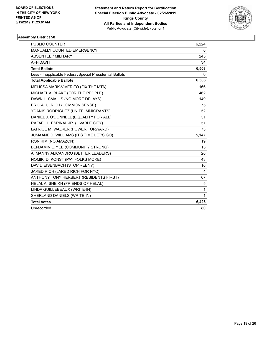

| <b>PUBLIC COUNTER</b>                                    | 6,224 |
|----------------------------------------------------------|-------|
| MANUALLY COUNTED EMERGENCY                               | 0     |
| ABSENTEE / MILITARY                                      | 245   |
| <b>AFFIDAVIT</b>                                         | 34    |
| <b>Total Ballots</b>                                     | 6,503 |
| Less - Inapplicable Federal/Special Presidential Ballots | 0     |
| <b>Total Applicable Ballots</b>                          | 6,503 |
| MELISSA MARK-VIVERITO (FIX THE MTA)                      | 166   |
| MICHAEL A. BLAKE (FOR THE PEOPLE)                        | 462   |
| DAWN L. SMALLS (NO MORE DELAYS)                          | 149   |
| ERIC A. ULRICH (COMMON SENSE)                            | 75    |
| YDANIS RODRIGUEZ (UNITE IMMIGRANTS)                      | 52    |
| DANIEL J. O'DONNELL (EQUALITY FOR ALL)                   | 51    |
| RAFAEL L. ESPINAL JR. (LIVABLE CITY)                     | 51    |
| LATRICE M. WALKER (POWER FORWARD)                        | 73    |
| JUMAANE D. WILLIAMS (IT'S TIME LET'S GO)                 | 5,147 |
| RON KIM (NO AMAZON)                                      | 19    |
| BENJAMIN L. YEE (COMMUNITY STRONG)                       | 15    |
| A. MANNY ALICANDRO (BETTER LEADERS)                      | 26    |
| NOMIKI D. KONST (PAY FOLKS MORE)                         | 43    |
| DAVID EISENBACH (STOP REBNY)                             | 16    |
| JARED RICH (JARED RICH FOR NYC)                          | 4     |
| ANTHONY TONY HERBERT (RESIDENTS FIRST)                   | 67    |
| HELAL A. SHEIKH (FRIENDS OF HELAL)                       | 5     |
| LINDA GUILLEBEAUX (WRITE-IN)                             | 1     |
| SHERLAND DANIELS (WRITE-IN)                              | 1     |
| <b>Total Votes</b>                                       | 6,423 |
| Unrecorded                                               | 80    |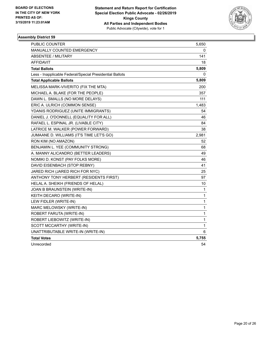

| <b>PUBLIC COUNTER</b>                                    | 5,650        |
|----------------------------------------------------------|--------------|
| MANUALLY COUNTED EMERGENCY                               | 0            |
| <b>ABSENTEE / MILITARY</b>                               | 141          |
| <b>AFFIDAVIT</b>                                         | 18           |
| <b>Total Ballots</b>                                     | 5,809        |
| Less - Inapplicable Federal/Special Presidential Ballots | 0            |
| <b>Total Applicable Ballots</b>                          | 5,809        |
| MELISSA MARK-VIVERITO (FIX THE MTA)                      | 200          |
| MICHAEL A. BLAKE (FOR THE PEOPLE)                        | 357          |
| DAWN L. SMALLS (NO MORE DELAYS)                          | 111          |
| ERIC A. ULRICH (COMMON SENSE)                            | 1,483        |
| YDANIS RODRIGUEZ (UNITE IMMIGRANTS)                      | 54           |
| DANIEL J. O'DONNELL (EQUALITY FOR ALL)                   | 46           |
| RAFAEL L. ESPINAL JR. (LIVABLE CITY)                     | 84           |
| LATRICE M. WALKER (POWER FORWARD)                        | 38           |
| JUMAANE D. WILLIAMS (IT'S TIME LET'S GO)                 | 2,981        |
| RON KIM (NO AMAZON)                                      | 52           |
| BENJAMIN L. YEE (COMMUNITY STRONG)                       | 68           |
| A. MANNY ALICANDRO (BETTER LEADERS)                      | 49           |
| NOMIKI D. KONST (PAY FOLKS MORE)                         | 46           |
| DAVID EISENBACH (STOP REBNY)                             | 41           |
| JARED RICH (JARED RICH FOR NYC)                          | 25           |
| ANTHONY TONY HERBERT (RESIDENTS FIRST)                   | 97           |
| HELAL A. SHEIKH (FRIENDS OF HELAL)                       | 10           |
| JOAN B BRAUNSTEIN (WRITE-IN)                             | 1            |
| KEITH DECARO (WRITE-IN)                                  | $\mathbf{1}$ |
| LEW FIDLER (WRITE-IN)                                    | $\mathbf{1}$ |
| MARC MELOWSKY (WRITE-IN)                                 | 1            |
| ROBERT FARUTA (WRITE-IN)                                 | 1            |
| ROBERT LIEBOWITZ (WRITE-IN)                              | 1            |
| SCOTT MCCARTHY (WRITE-IN)                                | $\mathbf{1}$ |
| UNATTRIBUTABLE WRITE-IN (WRITE-IN)                       | 6            |
| <b>Total Votes</b>                                       | 5,755        |
| Unrecorded                                               | 54           |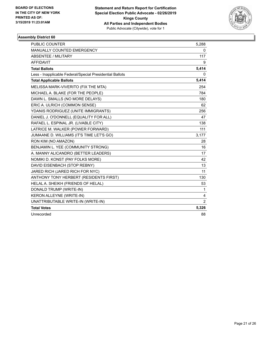

| <b>PUBLIC COUNTER</b>                                    | 5,288          |
|----------------------------------------------------------|----------------|
| <b>MANUALLY COUNTED EMERGENCY</b>                        | 0              |
| <b>ABSENTEE / MILITARY</b>                               | 117            |
| <b>AFFIDAVIT</b>                                         | 9              |
| <b>Total Ballots</b>                                     | 5,414          |
| Less - Inapplicable Federal/Special Presidential Ballots | 0              |
| <b>Total Applicable Ballots</b>                          | 5,414          |
| MELISSA MARK-VIVERITO (FIX THE MTA)                      | 254            |
| MICHAEL A. BLAKE (FOR THE PEOPLE)                        | 784            |
| DAWN L. SMALLS (NO MORE DELAYS)                          | 180            |
| ERIC A. ULRICH (COMMON SENSE)                            | 62             |
| YDANIS RODRIGUEZ (UNITE IMMIGRANTS)                      | 256            |
| DANIEL J. O'DONNELL (EQUALITY FOR ALL)                   | 47             |
| RAFAEL L. ESPINAL JR. (LIVABLE CITY)                     | 138            |
| LATRICE M. WALKER (POWER FORWARD)                        | 111            |
| JUMAANE D. WILLIAMS (IT'S TIME LET'S GO)                 | 3,177          |
| RON KIM (NO AMAZON)                                      | 28             |
| BENJAMIN L. YEE (COMMUNITY STRONG)                       | 16             |
| A. MANNY ALICANDRO (BETTER LEADERS)                      | 17             |
| NOMIKI D. KONST (PAY FOLKS MORE)                         | 42             |
| DAVID EISENBACH (STOP REBNY)                             | 13             |
| JARED RICH (JARED RICH FOR NYC)                          | 11             |
| ANTHONY TONY HERBERT (RESIDENTS FIRST)                   | 130            |
| HELAL A. SHEIKH (FRIENDS OF HELAL)                       | 53             |
| DONALD TRUMP (WRITE-IN)                                  | $\mathbf{1}$   |
| KERON ALLEYNE (WRITE-IN)                                 | 4              |
| UNATTRIBUTABLE WRITE-IN (WRITE-IN)                       | $\overline{2}$ |
| <b>Total Votes</b>                                       | 5,326          |
| Unrecorded                                               | 88             |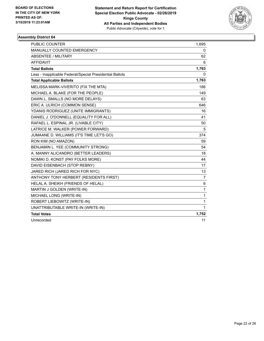

| <b>PUBLIC COUNTER</b>                                    | 1,695          |
|----------------------------------------------------------|----------------|
| MANUALLY COUNTED EMERGENCY                               | 0              |
| <b>ABSENTEE / MILITARY</b>                               | 62             |
| <b>AFFIDAVIT</b>                                         | 6              |
| <b>Total Ballots</b>                                     | 1,763          |
| Less - Inapplicable Federal/Special Presidential Ballots | 0              |
| <b>Total Applicable Ballots</b>                          | 1,763          |
| MELISSA MARK-VIVERITO (FIX THE MTA)                      | 186            |
| MICHAEL A. BLAKE (FOR THE PEOPLE)                        | 149            |
| DAWN L. SMALLS (NO MORE DELAYS)                          | 63             |
| ERIC A. ULRICH (COMMON SENSE)                            | 646            |
| YDANIS RODRIGUEZ (UNITE IMMIGRANTS)                      | 16             |
| DANIEL J. O'DONNELL (EQUALITY FOR ALL)                   | 41             |
| RAFAEL L. ESPINAL JR. (LIVABLE CITY)                     | 50             |
| LATRICE M. WALKER (POWER FORWARD)                        | 5              |
| JUMAANE D. WILLIAMS (IT'S TIME LET'S GO)                 | 374            |
| RON KIM (NO AMAZON)                                      | 59             |
| BENJAMIN L. YEE (COMMUNITY STRONG)                       | 54             |
| A. MANNY ALICANDRO (BETTER LEADERS)                      | 18             |
| NOMIKI D. KONST (PAY FOLKS MORE)                         | 44             |
| DAVID EISENBACH (STOP REBNY)                             | 17             |
| JARED RICH (JARED RICH FOR NYC)                          | 13             |
| ANTHONY TONY HERBERT (RESIDENTS FIRST)                   | $\overline{7}$ |
| HELAL A. SHEIKH (FRIENDS OF HELAL)                       | 6              |
| MARTIN J GOLDEN (WRITE-IN)                               | 1              |
| MICHAEL LONG (WRITE-IN)                                  | $\mathbf{1}$   |
| ROBERT LIEBOWITZ (WRITE-IN)                              | $\mathbf{1}$   |
| UNATTRIBUTABLE WRITE-IN (WRITE-IN)                       | 1              |
| <b>Total Votes</b>                                       | 1,752          |
| Unrecorded                                               | 11             |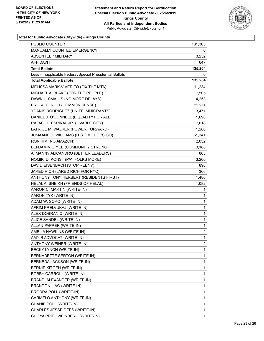

|                                                          | 131,365        |
|----------------------------------------------------------|----------------|
| MANUALLY COUNTED EMERGENCY                               | 0              |
| <b>ABSENTEE / MILITARY</b>                               | 3,252          |
| AFFIDAVIT                                                | 647            |
| <b>Total Ballots</b>                                     | 135,264        |
| Less - Inapplicable Federal/Special Presidential Ballots | 0              |
| <b>Total Applicable Ballots</b>                          | 135,264        |
| MELISSA MARK-VIVERITO (FIX THE MTA)                      | 11,234         |
| MICHAEL A. BLAKE (FOR THE PEOPLE)                        | 7,505          |
| DAWN L. SMALLS (NO MORE DELAYS)                          | 4,253          |
| ERIC A. ULRICH (COMMON SENSE)                            | 22,911         |
| YDANIS RODRIGUEZ (UNITE IMMIGRANTS)                      | 3,471          |
| DANIEL J. O'DONNELL (EQUALITY FOR ALL)                   | 1,690          |
| RAFAEL L. ESPINAL JR. (LIVABLE CITY)                     | 7,018          |
| LATRICE M. WALKER (POWER FORWARD)                        | 1,286          |
| JUMAANE D. WILLIAMS (IT'S TIME LET'S GO)                 | 61,341         |
| RON KIM (NO AMAZON)                                      | 2,032          |
| BENJAMIN L. YEE (COMMUNITY STRONG)                       | 3,188          |
| A. MANNY ALICANDRO (BETTER LEADERS)                      | 803            |
| NOMIKI D. KONST (PAY FOLKS MORE)                         | 3,200          |
| DAVID EISENBACH (STOP REBNY)                             | 896            |
| JARED RICH (JARED RICH FOR NYC)                          | 366            |
| ANTHONY TONY HERBERT (RESIDENTS FIRST)                   | 1,480          |
| HELAL A. SHEIKH (FRIENDS OF HELAL)                       | 1,082          |
| AARON C. MARTIN (WRITE-IN)                               | 1              |
| AARON TYK (WRITE-IN)                                     | 1              |
| ADAM W. SORO (WRITE-IN)                                  | 1              |
| AFRIM PRELVUKAJ (WRITE-IN)                               | 1              |
| ALEX DOBRANIC (WRITE-IN)                                 | 1              |
| ALICE SANDEL (WRITE-IN)                                  | 1              |
| ALLAN PAPPER (WRITE-IN)                                  | $\mathbf{1}$   |
| AMELIA HAWKINS (WRITE-IN)                                | $\overline{2}$ |
| AMY R ADVOCAT (WRITE-IN)                                 | 1              |
| ANTHONY WEINER (WRITE-IN)                                | 2              |
| <b>BECKY LYNCH (WRITE-IN)</b>                            | 1              |
| BERNADETTE SERTON (WRITE-IN)                             | 1              |
| BERNEDA JACKSON (WRITE-IN)                               | 1              |
| BERNIE KITGEN (WRITE-IN)                                 | 1              |
| BOBBY CARROLL (WRITE-IN)                                 | 1              |
| BRANDI ALEXANDER (WRITE-IN)                              | 1              |
| BRANDON LIAO (WRITE-IN)                                  | 1              |
| <b>BRODRA POLL (WRITE-IN)</b>                            | 1              |
| CARMELO ANTHONY (WRITE-IN)                               | 1              |
| CHANIE POLL (WRITE-IN)                                   | 1              |
| CHARLES JESSE DEES (WRITE-IN)                            | 1              |
| CHOYA PRIEL WEINBERG (WRITE-IN)                          | 1              |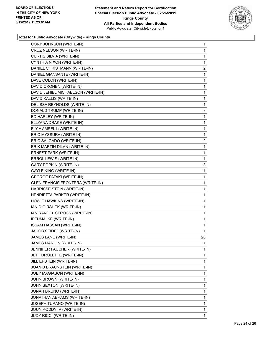

| CORY JOHNSON (WRITE-IN)                 | 1            |
|-----------------------------------------|--------------|
| CRUZ NELSON (WRITE-IN)                  | $\mathbf 1$  |
| CURTIS SILVIA (WRITE-IN)                | $\mathbf 1$  |
| CYNTHIA NIXON (WRITE-IN)                | 1            |
| DANIEL CHRISTMANN (WRITE-IN)            | 2            |
| DANIEL GIANSANTE (WRITE-IN)             | 1            |
| DAVE COLON (WRITE-IN)                   | 1            |
| DAVID CRONEN (WRITE-IN)                 | 1            |
| DAVID JEHIEL MICHAELSON (WRITE-IN)      | 1            |
| DAVID KALLIS (WRITE-IN)                 | 1            |
| DELISSA REYNOLDS (WRITE-IN)             | 1            |
| DONALD TRUMP (WRITE-IN)                 | 3            |
| ED HARLEY (WRITE-IN)                    | 1            |
| ELLYANA DRAKE (WRITE-IN)                | 1            |
| ELY A AMSEL1 (WRITE-IN)                 | $\mathbf{1}$ |
| ERIC MYSSURA (WRITE-IN)                 | 1            |
| ERIC SALGADO (WRITE-IN)                 | 2            |
| ERIK MARTIN DILAN (WRITE-IN)            | 1            |
| ERNEST PARK (WRITE-IN)                  | 1            |
| ERROL LEWIS (WRITE-IN)                  | 1            |
| <b>GARY POPKIN (WRITE-IN)</b>           | 3            |
| <b>GAYLE KING (WRITE-IN)</b>            | 1            |
| <b>GEORGE PATAKI (WRITE-IN)</b>         | 1            |
| <b>GLEN FRANCIS FRONTERA (WRITE-IN)</b> | 1            |
| HARRISSE STEIN (WRITE-IN)               | 1            |
| HENRIETTA PARKER (WRITE-IN)             | 1            |
| HOWIE HAWKINS (WRITE-IN)                | 1            |
| IAN D GIRSHEK (WRITE-IN)                | 1            |
| IAN RANDEL STROCK (WRITE-IN)            | 1            |
| IFEUMA IKE (WRITE-IN)                   | $\mathbf{1}$ |
| ISSAM HASSAN (WRITE-IN)                 | 1            |
| JACOB SEIDEL (WRITE-IN)                 | 1            |
| JAMES LANE (WRITE-IN)                   | 20           |
| JAMES MARION (WRITE-IN)                 | 1            |
| JENNIFER FAUCHER (WRITE-IN)             | 1            |
| JETT DROLETTE (WRITE-IN)                | $\mathbf 1$  |
| JILL EPSTEIN (WRITE-IN)                 | 1            |
| JOAN B BRAUNSTEIN (WRITE-IN)            | 1            |
| JOEY MAGIASON (WRITE-IN)                | $\mathbf 1$  |
| JOHN BROWN (WRITE-IN)                   | 1            |
| JOHN SEXTON (WRITE-IN)                  | 1            |
| JONAH BRUNO (WRITE-IN)                  | $\mathbf 1$  |
| JONATHAN ABRAMS (WRITE-IN)              | 1            |
| JOSEPH TURANO (WRITE-IN)                | 1            |
| JOUN RODDY IV (WRITE-IN)                | $\mathbf 1$  |
| <b>JUDY RICCI (WRITE-IN)</b>            | 1            |
|                                         |              |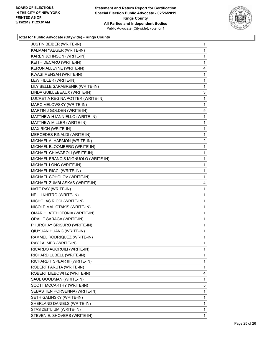

| JUSTIN BEIBER (WRITE-IN)            | 1           |
|-------------------------------------|-------------|
| KALMAN YAEGER (WRITE-IN)            | 1           |
| KAREN JOHNSON (WRITE-IN)            | $\mathbf 1$ |
| KEITH DECARO (WRITE-IN)             | 1           |
| KERON ALLEYNE (WRITE-IN)            | 4           |
| KWASI MENSAH (WRITE-IN)             | 1           |
| LEW FIDLER (WRITE-IN)               | 1           |
| LILY BELLE SARABRENIK (WRITE-IN)    | 1           |
| LINDA GUILLEBEAUX (WRITE-IN)        | 3           |
| LUCRETIA REGINA POTTER (WRITE-IN)   | 1           |
| MARC MELOWSKY (WRITE-IN)            | 1           |
| MARTIN J GOLDEN (WRITE-IN)          | 5           |
| MATTHEW H IANNIELLO (WRITE-IN)      | 1           |
| MATTHEW MILLER (WRITE-IN)           | 1           |
| MAX RICH (WRITE-IN)                 | 1           |
| MERCEDES RINALDI (WRITE-IN)         | 1           |
| MICHAEL A. HARMON (WRITE-IN)        | 2           |
| MICHAEL BLOOMBERG (WRITE-IN)        | 1           |
| MICHAEL CHIAVAROLI (WRITE-IN)       | 1           |
| MICHAEL FRANCIS MIGNUOLO (WRITE-IN) | 1           |
| MICHAEL LONG (WRITE-IN)             | 1           |
| MICHAEL RICCI (WRITE-IN)            | 1           |
| MICHAEL SOHOLOV (WRITE-IN)          | 1           |
| MICHAEL ZUMBLASKAS (WRITE-IN)       | 4           |
| NATE RAY (WRITE-IN)                 | 1           |
| NELLI KHITRO (WRITE-IN)             | 1           |
| NICHOLAS RICCI (WRITE-IN)           | 1           |
| NICOLE MALIOTAKIS (WRITE-IN)        | 1           |
| OMAR H. ATEHOTONIA (WRITE-IN)       | 1           |
| ORALIE SARAGA (WRITE-IN)            | 1           |
| PHURCHAY SRISURO (WRITE-IN)         | 1           |
| QIUYUAN HUANG (WRITE-IN)            | 1           |
| RAMMEL RODRIQUEZ (WRITE-IN)         | 1           |
| RAY PALMER (WRITE-IN)               | 1           |
| RICARDO AGORUILI (WRITE-IN)         | 1           |
| RICHARD LUBELL (WRITE-IN)           | 1           |
| RICHARD T SPEAR III (WRITE-IN)      | 1           |
| ROBERT FARUTA (WRITE-IN)            | 1           |
| ROBERT LIEBOWITZ (WRITE-IN)         | 4           |
| SAUL GOODMAN (WRITE-IN)             | 1           |
| SCOTT MCCARTHY (WRITE-IN)           | 5           |
| SEBASTIEN PORSENNA (WRITE-IN)       | 1           |
| SETH GALINSKY (WRITE-IN)            | 1           |
| SHERLAND DANIELS (WRITE-IN)         | 1           |
| STAS ZEITLIUM (WRITE-IN)            | 1           |
|                                     |             |
| STEVEN E. SHOVERS (WRITE-IN)        | 1           |